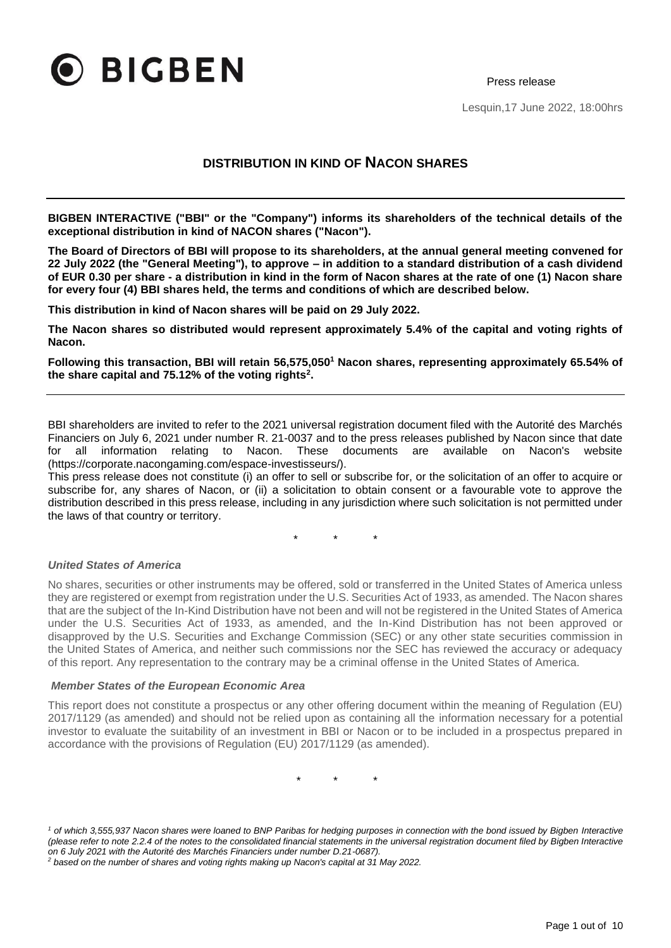

Press release

Lesquin,17 June 2022, 18:00hrs

# **DISTRIBUTION IN KIND OF NACON SHARES**

**BIGBEN INTERACTIVE ("BBI" or the "Company") informs its shareholders of the technical details of the exceptional distribution in kind of NACON shares ("Nacon").**

**The Board of Directors of BBI will propose to its shareholders, at the annual general meeting convened for 22 July 2022 (the "General Meeting"), to approve – in addition to a standard distribution of a cash dividend of EUR 0.30 per share - a distribution in kind in the form of Nacon shares at the rate of one (1) Nacon share for every four (4) BBI shares held, the terms and conditions of which are described below.** 

**This distribution in kind of Nacon shares will be paid on 29 July 2022.**

**The Nacon shares so distributed would represent approximately 5.4% of the capital and voting rights of Nacon.**

**Following this transaction, BBI will retain 56,575,050<sup>1</sup> Nacon shares, representing approximately 65.54% of the share capital and 75.12% of the voting rights<sup>2</sup> .**

BBI shareholders are invited to refer to the 2021 universal registration document filed with the Autorité des Marchés Financiers on July 6, 2021 under number R. 21-0037 and to the press releases published by Nacon since that date for all information relating to Nacon. These documents are available on Nacon's website (https://corporate.nacongaming.com/espace-investisseurs/).

This press release does not constitute (i) an offer to sell or subscribe for, or the solicitation of an offer to acquire or subscribe for, any shares of Nacon, or (ii) a solicitation to obtain consent or a favourable vote to approve the distribution described in this press release, including in any jurisdiction where such solicitation is not permitted under the laws of that country or territory.

\* \* \*

#### *United States of America*

No shares, securities or other instruments may be offered, sold or transferred in the United States of America unless they are registered or exempt from registration under the U.S. Securities Act of 1933, as amended. The Nacon shares that are the subject of the In-Kind Distribution have not been and will not be registered in the United States of America under the U.S. Securities Act of 1933, as amended, and the In-Kind Distribution has not been approved or disapproved by the U.S. Securities and Exchange Commission (SEC) or any other state securities commission in the United States of America, and neither such commissions nor the SEC has reviewed the accuracy or adequacy of this report. Any representation to the contrary may be a criminal offense in the United States of America.

#### *Member States of the European Economic Area*

This report does not constitute a prospectus or any other offering document within the meaning of Regulation (EU) 2017/1129 (as amended) and should not be relied upon as containing all the information necessary for a potential investor to evaluate the suitability of an investment in BBI or Nacon or to be included in a prospectus prepared in accordance with the provisions of Regulation (EU) 2017/1129 (as amended).

\* \* \*

<sup>&</sup>lt;sup>1</sup> of which 3,555,937 Nacon shares were loaned to BNP Paribas for hedging purposes in connection with the bond issued by Bigben Interactive *(please refer to note 2.2.4 of the notes to the consolidated financial statements in the universal registration document filed by Bigben Interactive on 6 July 2021 with the Autorité des Marchés Financiers under number D.21-0687).*

*<sup>2</sup> based on the number of shares and voting rights making up Nacon's capital at 31 May 2022.*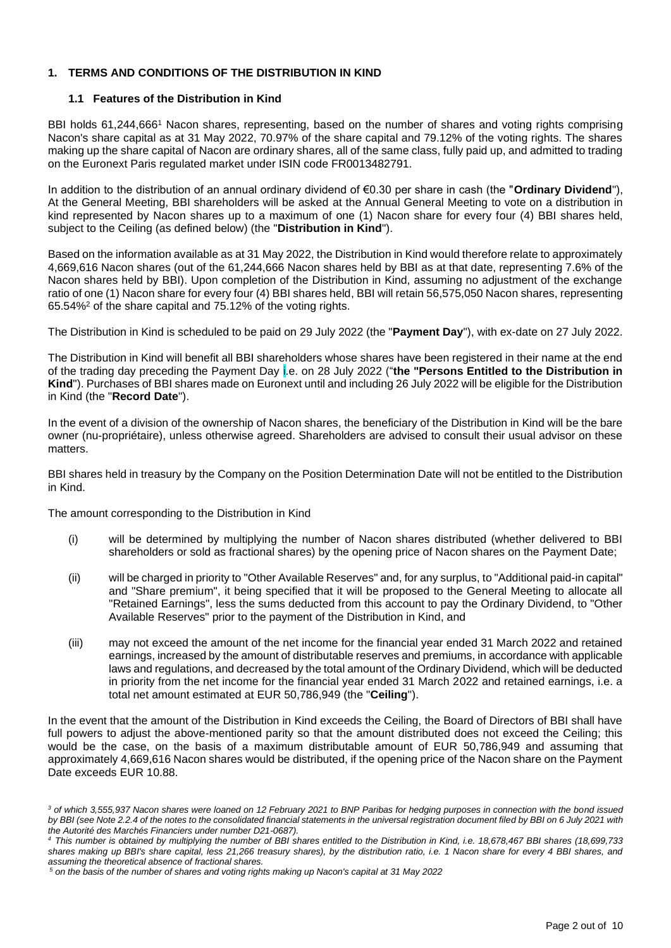### **1. TERMS AND CONDITIONS OF THE DISTRIBUTION IN KIND**

#### **1.1 Features of the Distribution in Kind**

BBI holds 61,244,666<sup>1</sup> Nacon shares, representing, based on the number of shares and voting rights comprising Nacon's share capital as at 31 May 2022, 70.97% of the share capital and 79.12% of the voting rights. The shares making up the share capital of Nacon are ordinary shares, all of the same class, fully paid up, and admitted to trading on the Euronext Paris regulated market under ISIN code FR0013482791.

In addition to the distribution of an annual ordinary dividend of €0.30 per share in cash (the "**Ordinary Dividend**"), At the General Meeting, BBI shareholders will be asked at the Annual General Meeting to vote on a distribution in kind represented by Nacon shares up to a maximum of one (1) Nacon share for every four (4) BBI shares held, subject to the Ceiling (as defined below) (the "**Distribution in Kind**").

Based on the information available as at 31 May 2022, the Distribution in Kind would therefore relate to approximately 4,669,616 Nacon shares (out of the 61,244,666 Nacon shares held by BBI as at that date, representing 7.6% of the Nacon shares held by BBI). Upon completion of the Distribution in Kind, assuming no adjustment of the exchange ratio of one (1) Nacon share for every four (4) BBI shares held, BBI will retain 56,575,050 Nacon shares, representing 65.54%<sup>2</sup> of the share capital and 75.12% of the voting rights.

The Distribution in Kind is scheduled to be paid on 29 July 2022 (the "**Payment Day**"), with ex-date on 27 July 2022.

The Distribution in Kind will benefit all BBI shareholders whose shares have been registered in their name at the end of the trading day preceding the Payment Day i.e. on 28 July 2022 ("**the "Persons Entitled to the Distribution in Kind**"). Purchases of BBI shares made on Euronext until and including 26 July 2022 will be eligible for the Distribution in Kind (the "**Record Date**").

In the event of a division of the ownership of Nacon shares, the beneficiary of the Distribution in Kind will be the bare owner (nu-propriétaire), unless otherwise agreed. Shareholders are advised to consult their usual advisor on these matters.

BBI shares held in treasury by the Company on the Position Determination Date will not be entitled to the Distribution in Kind.

The amount corresponding to the Distribution in Kind

- (i) will be determined by multiplying the number of Nacon shares distributed (whether delivered to BBI shareholders or sold as fractional shares) by the opening price of Nacon shares on the Payment Date;
- (ii) will be charged in priority to "Other Available Reserves" and, for any surplus, to "Additional paid-in capital" and "Share premium", it being specified that it will be proposed to the General Meeting to allocate all "Retained Earnings", less the sums deducted from this account to pay the Ordinary Dividend, to "Other Available Reserves" prior to the payment of the Distribution in Kind, and
- (iii) may not exceed the amount of the net income for the financial year ended 31 March 2022 and retained earnings, increased by the amount of distributable reserves and premiums, in accordance with applicable laws and regulations, and decreased by the total amount of the Ordinary Dividend, which will be deducted in priority from the net income for the financial year ended 31 March 2022 and retained earnings, i.e. a total net amount estimated at EUR 50,786,949 (the "**Ceiling**").

In the event that the amount of the Distribution in Kind exceeds the Ceiling, the Board of Directors of BBI shall have full powers to adjust the above-mentioned parity so that the amount distributed does not exceed the Ceiling; this would be the case, on the basis of a maximum distributable amount of EUR 50,786,949 and assuming that approximately 4,669,616 Nacon shares would be distributed, if the opening price of the Nacon share on the Payment Date exceeds EUR 10.88.

*<sup>3</sup> of which 3,555,937 Nacon shares were loaned on 12 February 2021 to BNP Paribas for hedging purposes in connection with the bond issued by BBI (see Note 2.2.4 of the notes to the consolidated financial statements in the universal registration document filed by BBI on 6 July 2021 with the Autorité des Marchés Financiers under number D21-0687).* 

*<sup>4</sup>This number is obtained by multiplying the number of BBI shares entitled to the Distribution in Kind, i.e. 18,678,467 BBI shares (18,699,733 shares making up BBI's share capital, less 21,266 treasury shares), by the distribution ratio, i.e. 1 Nacon share for every 4 BBI shares, and assuming the theoretical absence of fractional shares.*

*<sup>5</sup> on the basis of the number of shares and voting rights making up Nacon's capital at 31 May 2022*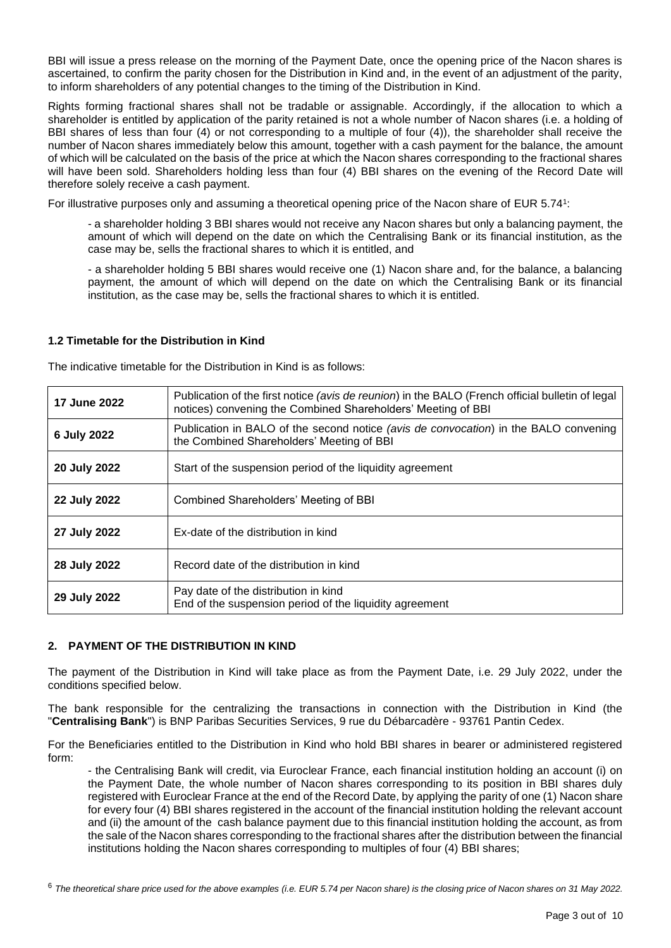BBI will issue a press release on the morning of the Payment Date, once the opening price of the Nacon shares is ascertained, to confirm the parity chosen for the Distribution in Kind and, in the event of an adjustment of the parity, to inform shareholders of any potential changes to the timing of the Distribution in Kind.

Rights forming fractional shares shall not be tradable or assignable. Accordingly, if the allocation to which a shareholder is entitled by application of the parity retained is not a whole number of Nacon shares (i.e. a holding of BBI shares of less than four (4) or not corresponding to a multiple of four (4)), the shareholder shall receive the number of Nacon shares immediately below this amount, together with a cash payment for the balance, the amount of which will be calculated on the basis of the price at which the Nacon shares corresponding to the fractional shares will have been sold. Shareholders holding less than four (4) BBI shares on the evening of the Record Date will therefore solely receive a cash payment.

For illustrative purposes only and assuming a theoretical opening price of the Nacon share of EUR 5.74<sup>1</sup>:

- a shareholder holding 3 BBI shares would not receive any Nacon shares but only a balancing payment, the amount of which will depend on the date on which the Centralising Bank or its financial institution, as the case may be, sells the fractional shares to which it is entitled, and

- a shareholder holding 5 BBI shares would receive one (1) Nacon share and, for the balance, a balancing payment, the amount of which will depend on the date on which the Centralising Bank or its financial institution, as the case may be, sells the fractional shares to which it is entitled.

#### **1.2 Timetable for the Distribution in Kind**

The indicative timetable for the Distribution in Kind is as follows:

| <b>17 June 2022</b> | Publication of the first notice (avis de reunion) in the BALO (French official bulletin of legal<br>notices) convening the Combined Shareholders' Meeting of BBI |  |  |
|---------------------|------------------------------------------------------------------------------------------------------------------------------------------------------------------|--|--|
| 6 July 2022         | Publication in BALO of the second notice (avis de convocation) in the BALO convening<br>the Combined Shareholders' Meeting of BBI                                |  |  |
| 20 July 2022        | Start of the suspension period of the liquidity agreement                                                                                                        |  |  |
| 22 July 2022        | Combined Shareholders' Meeting of BBI                                                                                                                            |  |  |
| 27 July 2022        | Ex-date of the distribution in kind                                                                                                                              |  |  |
| 28 July 2022        | Record date of the distribution in kind                                                                                                                          |  |  |
| 29 July 2022        | Pay date of the distribution in kind<br>End of the suspension period of the liquidity agreement                                                                  |  |  |

#### **2. PAYMENT OF THE DISTRIBUTION IN KIND**

The payment of the Distribution in Kind will take place as from the Payment Date, i.e. 29 July 2022, under the conditions specified below.

The bank responsible for the centralizing the transactions in connection with the Distribution in Kind (the "**Centralising Bank**") is BNP Paribas Securities Services, 9 rue du Débarcadère - 93761 Pantin Cedex.

For the Beneficiaries entitled to the Distribution in Kind who hold BBI shares in bearer or administered registered form:

- the Centralising Bank will credit, via Euroclear France, each financial institution holding an account (i) on the Payment Date, the whole number of Nacon shares corresponding to its position in BBI shares duly registered with Euroclear France at the end of the Record Date, by applying the parity of one (1) Nacon share for every four (4) BBI shares registered in the account of the financial institution holding the relevant account and (ii) the amount of the cash balance payment due to this financial institution holding the account, as from the sale of the Nacon shares corresponding to the fractional shares after the distribution between the financial institutions holding the Nacon shares corresponding to multiples of four (4) BBI shares;

<sup>6</sup> *The theoretical share price used for the above examples (i.e. EUR 5.74 per Nacon share) is the closing price of Nacon shares on 31 May 2022.*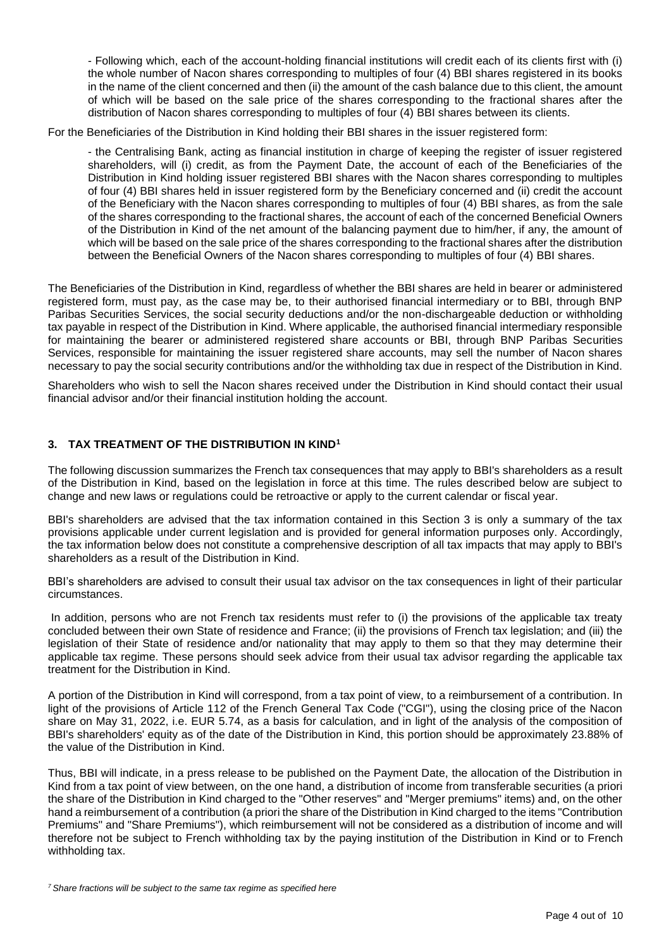- Following which, each of the account-holding financial institutions will credit each of its clients first with (i) the whole number of Nacon shares corresponding to multiples of four (4) BBI shares registered in its books in the name of the client concerned and then (ii) the amount of the cash balance due to this client, the amount of which will be based on the sale price of the shares corresponding to the fractional shares after the distribution of Nacon shares corresponding to multiples of four (4) BBI shares between its clients.

For the Beneficiaries of the Distribution in Kind holding their BBI shares in the issuer registered form:

- the Centralising Bank, acting as financial institution in charge of keeping the register of issuer registered shareholders, will (i) credit, as from the Payment Date, the account of each of the Beneficiaries of the Distribution in Kind holding issuer registered BBI shares with the Nacon shares corresponding to multiples of four (4) BBI shares held in issuer registered form by the Beneficiary concerned and (ii) credit the account of the Beneficiary with the Nacon shares corresponding to multiples of four (4) BBI shares, as from the sale of the shares corresponding to the fractional shares, the account of each of the concerned Beneficial Owners of the Distribution in Kind of the net amount of the balancing payment due to him/her, if any, the amount of which will be based on the sale price of the shares corresponding to the fractional shares after the distribution between the Beneficial Owners of the Nacon shares corresponding to multiples of four (4) BBI shares.

The Beneficiaries of the Distribution in Kind, regardless of whether the BBI shares are held in bearer or administered registered form, must pay, as the case may be, to their authorised financial intermediary or to BBI, through BNP Paribas Securities Services, the social security deductions and/or the non-dischargeable deduction or withholding tax payable in respect of the Distribution in Kind. Where applicable, the authorised financial intermediary responsible for maintaining the bearer or administered registered share accounts or BBI, through BNP Paribas Securities Services, responsible for maintaining the issuer registered share accounts, may sell the number of Nacon shares necessary to pay the social security contributions and/or the withholding tax due in respect of the Distribution in Kind.

Shareholders who wish to sell the Nacon shares received under the Distribution in Kind should contact their usual financial advisor and/or their financial institution holding the account.

### **3. TAX TREATMENT OF THE DISTRIBUTION IN KIND<sup>1</sup>**

The following discussion summarizes the French tax consequences that may apply to BBI's shareholders as a result of the Distribution in Kind, based on the legislation in force at this time. The rules described below are subject to change and new laws or regulations could be retroactive or apply to the current calendar or fiscal year.

BBI's shareholders are advised that the tax information contained in this Section 3 is only a summary of the tax provisions applicable under current legislation and is provided for general information purposes only. Accordingly, the tax information below does not constitute a comprehensive description of all tax impacts that may apply to BBI's shareholders as a result of the Distribution in Kind.

BBI's shareholders are advised to consult their usual tax advisor on the tax consequences in light of their particular circumstances.

In addition, persons who are not French tax residents must refer to (i) the provisions of the applicable tax treaty concluded between their own State of residence and France; (ii) the provisions of French tax legislation; and (iii) the legislation of their State of residence and/or nationality that may apply to them so that they may determine their applicable tax regime. These persons should seek advice from their usual tax advisor regarding the applicable tax treatment for the Distribution in Kind.

A portion of the Distribution in Kind will correspond, from a tax point of view, to a reimbursement of a contribution. In light of the provisions of Article 112 of the French General Tax Code ("CGI"), using the closing price of the Nacon share on May 31, 2022, i.e. EUR 5.74, as a basis for calculation, and in light of the analysis of the composition of BBI's shareholders' equity as of the date of the Distribution in Kind, this portion should be approximately 23.88% of the value of the Distribution in Kind.

Thus, BBI will indicate, in a press release to be published on the Payment Date, the allocation of the Distribution in Kind from a tax point of view between, on the one hand, a distribution of income from transferable securities (a priori the share of the Distribution in Kind charged to the "Other reserves" and "Merger premiums" items) and, on the other hand a reimbursement of a contribution (a priori the share of the Distribution in Kind charged to the items "Contribution Premiums" and "Share Premiums"), which reimbursement will not be considered as a distribution of income and will therefore not be subject to French withholding tax by the paying institution of the Distribution in Kind or to French withholding tax.

*<sup>7</sup> Share fractions will be subject to the same tax regime as specified here*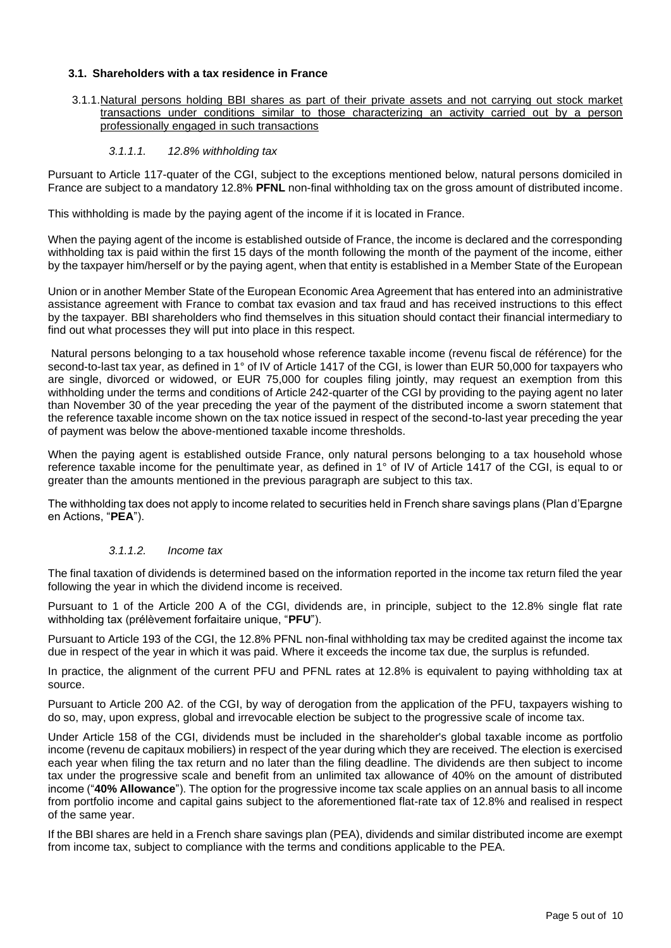#### **3.1. Shareholders with a tax residence in France**

3.1.1.Natural persons holding BBI shares as part of their private assets and not carrying out stock market transactions under conditions similar to those characterizing an activity carried out by a person professionally engaged in such transactions

#### *3.1.1.1. 12.8% withholding tax*

Pursuant to Article 117-quater of the CGI, subject to the exceptions mentioned below, natural persons domiciled in France are subject to a mandatory 12.8% **PFNL** non-final withholding tax on the gross amount of distributed income.

This withholding is made by the paying agent of the income if it is located in France.

When the paying agent of the income is established outside of France, the income is declared and the corresponding withholding tax is paid within the first 15 days of the month following the month of the payment of the income, either by the taxpayer him/herself or by the paying agent, when that entity is established in a Member State of the European

Union or in another Member State of the European Economic Area Agreement that has entered into an administrative assistance agreement with France to combat tax evasion and tax fraud and has received instructions to this effect by the taxpayer. BBI shareholders who find themselves in this situation should contact their financial intermediary to find out what processes they will put into place in this respect.

Natural persons belonging to a tax household whose reference taxable income (revenu fiscal de référence) for the second-to-last tax year, as defined in 1° of IV of Article 1417 of the CGI, is lower than EUR 50,000 for taxpayers who are single, divorced or widowed, or EUR 75,000 for couples filing jointly, may request an exemption from this withholding under the terms and conditions of Article 242-quarter of the CGI by providing to the paying agent no later than November 30 of the year preceding the year of the payment of the distributed income a sworn statement that the reference taxable income shown on the tax notice issued in respect of the second-to-last year preceding the year of payment was below the above-mentioned taxable income thresholds.

When the paying agent is established outside France, only natural persons belonging to a tax household whose reference taxable income for the penultimate year, as defined in 1° of IV of Article 1417 of the CGI, is equal to or greater than the amounts mentioned in the previous paragraph are subject to this tax.

The withholding tax does not apply to income related to securities held in French share savings plans (Plan d'Epargne en Actions, "**PEA**").

#### *3.1.1.2. Income tax*

The final taxation of dividends is determined based on the information reported in the income tax return filed the year following the year in which the dividend income is received.

Pursuant to 1 of the Article 200 A of the CGI, dividends are, in principle, subject to the 12.8% single flat rate withholding tax (prélèvement forfaitaire unique, "**PFU**").

Pursuant to Article 193 of the CGI, the 12.8% PFNL non-final withholding tax may be credited against the income tax due in respect of the year in which it was paid. Where it exceeds the income tax due, the surplus is refunded.

In practice, the alignment of the current PFU and PFNL rates at 12.8% is equivalent to paying withholding tax at source.

Pursuant to Article 200 A2. of the CGI, by way of derogation from the application of the PFU, taxpayers wishing to do so, may, upon express, global and irrevocable election be subject to the progressive scale of income tax.

Under Article 158 of the CGI, dividends must be included in the shareholder's global taxable income as portfolio income (revenu de capitaux mobiliers) in respect of the year during which they are received. The election is exercised each year when filing the tax return and no later than the filing deadline. The dividends are then subject to income tax under the progressive scale and benefit from an unlimited tax allowance of 40% on the amount of distributed income ("**40% Allowance**"). The option for the progressive income tax scale applies on an annual basis to all income from portfolio income and capital gains subject to the aforementioned flat-rate tax of 12.8% and realised in respect of the same year.

If the BBI shares are held in a French share savings plan (PEA), dividends and similar distributed income are exempt from income tax, subject to compliance with the terms and conditions applicable to the PEA.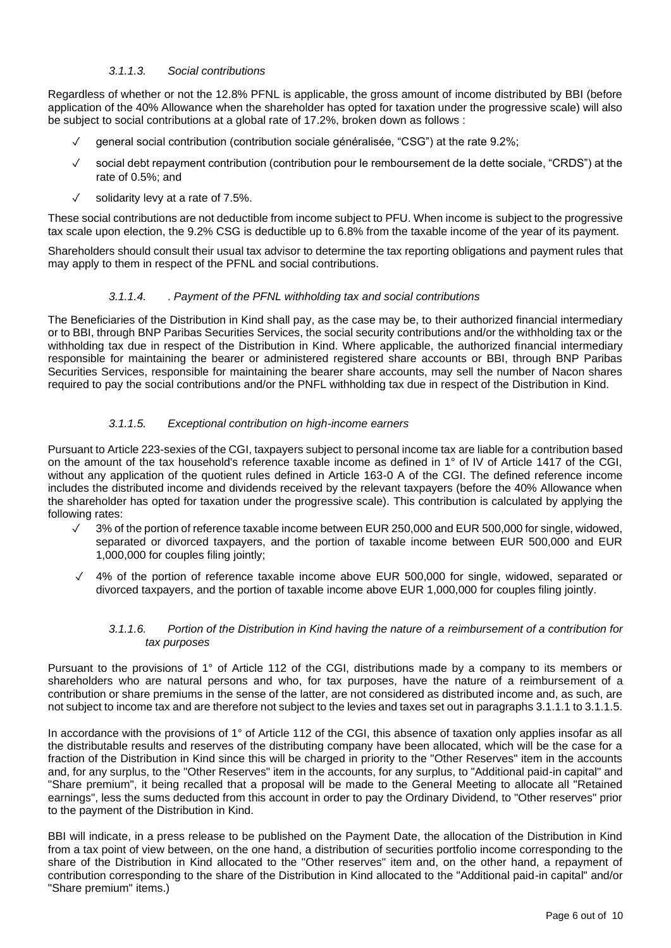## *3.1.1.3. Social contributions*

Regardless of whether or not the 12.8% PFNL is applicable, the gross amount of income distributed by BBI (before application of the 40% Allowance when the shareholder has opted for taxation under the progressive scale) will also be subject to social contributions at a global rate of 17.2%, broken down as follows :

- general social contribution (contribution sociale généralisée, "CSG") at the rate 9.2%;
- ✓ social debt repayment contribution (contribution pour le remboursement de la dette sociale, "CRDS") at the rate of 0.5%; and
- ✓ solidarity levy at a rate of 7.5%.

These social contributions are not deductible from income subject to PFU. When income is subject to the progressive tax scale upon election, the 9.2% CSG is deductible up to 6.8% from the taxable income of the year of its payment.

Shareholders should consult their usual tax advisor to determine the tax reporting obligations and payment rules that may apply to them in respect of the PFNL and social contributions.

#### *3.1.1.4.* . *Payment of the PFNL withholding tax and social contributions*

The Beneficiaries of the Distribution in Kind shall pay, as the case may be, to their authorized financial intermediary or to BBI, through BNP Paribas Securities Services, the social security contributions and/or the withholding tax or the withholding tax due in respect of the Distribution in Kind. Where applicable, the authorized financial intermediary responsible for maintaining the bearer or administered registered share accounts or BBI, through BNP Paribas Securities Services, responsible for maintaining the bearer share accounts, may sell the number of Nacon shares required to pay the social contributions and/or the PNFL withholding tax due in respect of the Distribution in Kind.

### *3.1.1.5. Exceptional contribution on high-income earners*

Pursuant to Article 223-sexies of the CGI, taxpayers subject to personal income tax are liable for a contribution based on the amount of the tax household's reference taxable income as defined in 1° of IV of Article 1417 of the CGI, without any application of the quotient rules defined in Article 163-0 A of the CGI. The defined reference income includes the distributed income and dividends received by the relevant taxpayers (before the 40% Allowance when the shareholder has opted for taxation under the progressive scale). This contribution is calculated by applying the following rates:

- 3% of the portion of reference taxable income between EUR 250,000 and EUR 500,000 for single, widowed, separated or divorced taxpayers, and the portion of taxable income between EUR 500,000 and EUR 1,000,000 for couples filing jointly;
- ✓ 4% of the portion of reference taxable income above EUR 500,000 for single, widowed, separated or divorced taxpayers, and the portion of taxable income above EUR 1,000,000 for couples filing jointly.

#### *3.1.1.6. Portion of the Distribution in Kind having the nature of a reimbursement of a contribution for tax purposes*

Pursuant to the provisions of 1° of Article 112 of the CGI, distributions made by a company to its members or shareholders who are natural persons and who, for tax purposes, have the nature of a reimbursement of a contribution or share premiums in the sense of the latter, are not considered as distributed income and, as such, are not subject to income tax and are therefore not subject to the levies and taxes set out in paragraphs 3.1.1.1 to 3.1.1.5.

In accordance with the provisions of 1° of Article 112 of the CGI, this absence of taxation only applies insofar as all the distributable results and reserves of the distributing company have been allocated, which will be the case for a fraction of the Distribution in Kind since this will be charged in priority to the "Other Reserves" item in the accounts and, for any surplus, to the "Other Reserves" item in the accounts, for any surplus, to "Additional paid-in capital" and "Share premium", it being recalled that a proposal will be made to the General Meeting to allocate all "Retained earnings", less the sums deducted from this account in order to pay the Ordinary Dividend, to "Other reserves" prior to the payment of the Distribution in Kind.

BBI will indicate, in a press release to be published on the Payment Date, the allocation of the Distribution in Kind from a tax point of view between, on the one hand, a distribution of securities portfolio income corresponding to the share of the Distribution in Kind allocated to the "Other reserves" item and, on the other hand, a repayment of contribution corresponding to the share of the Distribution in Kind allocated to the "Additional paid-in capital" and/or "Share premium" items.)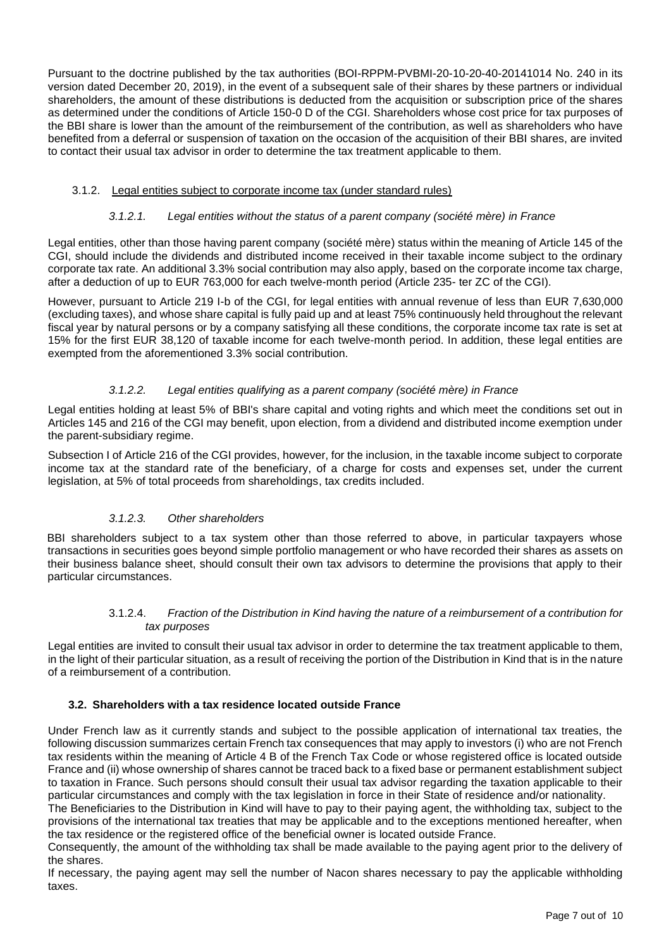Pursuant to the doctrine published by the tax authorities (BOI-RPPM-PVBMI-20-10-20-40-20141014 No. 240 in its version dated December 20, 2019), in the event of a subsequent sale of their shares by these partners or individual shareholders, the amount of these distributions is deducted from the acquisition or subscription price of the shares as determined under the conditions of Article 150-0 D of the CGI. Shareholders whose cost price for tax purposes of the BBI share is lower than the amount of the reimbursement of the contribution, as well as shareholders who have benefited from a deferral or suspension of taxation on the occasion of the acquisition of their BBI shares, are invited to contact their usual tax advisor in order to determine the tax treatment applicable to them.

### 3.1.2. Legal entities subject to corporate income tax (under standard rules)

### *3.1.2.1. Legal entities without the status of a parent company (société mère) in France*

Legal entities, other than those having parent company (société mère) status within the meaning of Article 145 of the CGI, should include the dividends and distributed income received in their taxable income subject to the ordinary corporate tax rate. An additional 3.3% social contribution may also apply, based on the corporate income tax charge, after a deduction of up to EUR 763,000 for each twelve-month period (Article 235- ter ZC of the CGI).

However, pursuant to Article 219 I-b of the CGI, for legal entities with annual revenue of less than EUR 7,630,000 (excluding taxes), and whose share capital is fully paid up and at least 75% continuously held throughout the relevant fiscal year by natural persons or by a company satisfying all these conditions, the corporate income tax rate is set at 15% for the first EUR 38,120 of taxable income for each twelve-month period. In addition, these legal entities are exempted from the aforementioned 3.3% social contribution.

### *3.1.2.2. Legal entities qualifying as a parent company (société mère) in France*

Legal entities holding at least 5% of BBI's share capital and voting rights and which meet the conditions set out in Articles 145 and 216 of the CGI may benefit, upon election, from a dividend and distributed income exemption under the parent-subsidiary regime.

Subsection I of Article 216 of the CGI provides, however, for the inclusion, in the taxable income subject to corporate income tax at the standard rate of the beneficiary, of a charge for costs and expenses set, under the current legislation, at 5% of total proceeds from shareholdings, tax credits included.

### *3.1.2.3. Other shareholders*

BBI shareholders subject to a tax system other than those referred to above, in particular taxpayers whose transactions in securities goes beyond simple portfolio management or who have recorded their shares as assets on their business balance sheet, should consult their own tax advisors to determine the provisions that apply to their particular circumstances.

### 3.1.2.4. *Fraction of the Distribution in Kind having the nature of a reimbursement of a contribution for tax purposes*

Legal entities are invited to consult their usual tax advisor in order to determine the tax treatment applicable to them, in the light of their particular situation, as a result of receiving the portion of the Distribution in Kind that is in the nature of a reimbursement of a contribution.

### **3.2. Shareholders with a tax residence located outside France**

Under French law as it currently stands and subject to the possible application of international tax treaties, the following discussion summarizes certain French tax consequences that may apply to investors (i) who are not French tax residents within the meaning of Article 4 B of the French Tax Code or whose registered office is located outside France and (ii) whose ownership of shares cannot be traced back to a fixed base or permanent establishment subject to taxation in France. Such persons should consult their usual tax advisor regarding the taxation applicable to their particular circumstances and comply with the tax legislation in force in their State of residence and/or nationality.

The Beneficiaries to the Distribution in Kind will have to pay to their paying agent, the withholding tax, subject to the provisions of the international tax treaties that may be applicable and to the exceptions mentioned hereafter, when the tax residence or the registered office of the beneficial owner is located outside France.

Consequently, the amount of the withholding tax shall be made available to the paying agent prior to the delivery of the shares.

If necessary, the paying agent may sell the number of Nacon shares necessary to pay the applicable withholding taxes.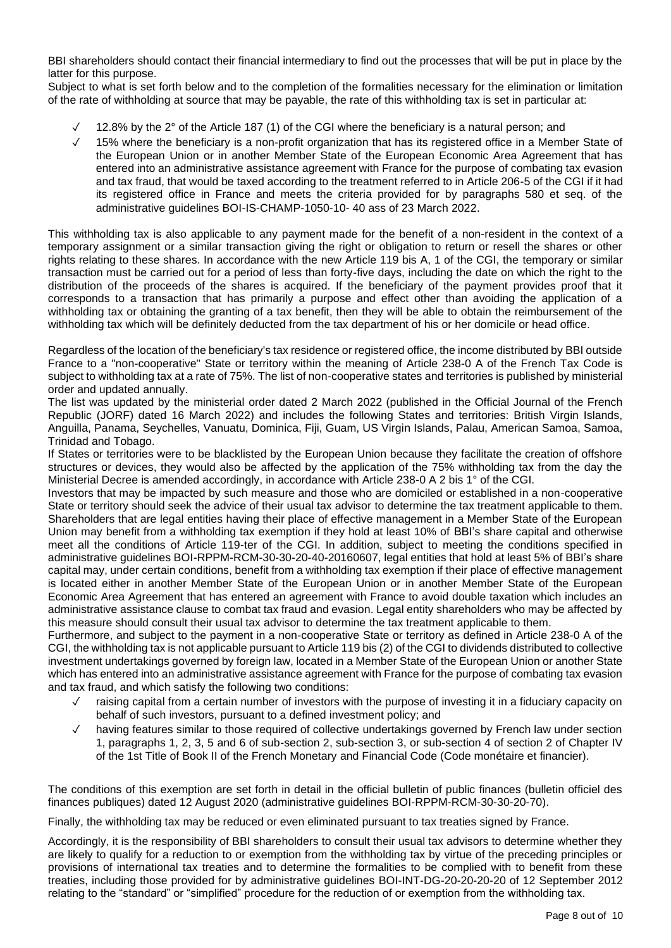BBI shareholders should contact their financial intermediary to find out the processes that will be put in place by the latter for this purpose.

Subject to what is set forth below and to the completion of the formalities necessary for the elimination or limitation of the rate of withholding at source that may be payable, the rate of this withholding tax is set in particular at:

- 12.8% by the 2° of the Article 187 (1) of the CGI where the beneficiary is a natural person; and
- ✓ 15% where the beneficiary is a non-profit organization that has its registered office in a Member State of the European Union or in another Member State of the European Economic Area Agreement that has entered into an administrative assistance agreement with France for the purpose of combating tax evasion and tax fraud, that would be taxed according to the treatment referred to in Article 206-5 of the CGI if it had its registered office in France and meets the criteria provided for by paragraphs 580 et seq. of the administrative guidelines BOI-IS-CHAMP-1050-10- 40 ass of 23 March 2022.

This withholding tax is also applicable to any payment made for the benefit of a non-resident in the context of a temporary assignment or a similar transaction giving the right or obligation to return or resell the shares or other rights relating to these shares. In accordance with the new Article 119 bis A, 1 of the CGI, the temporary or similar transaction must be carried out for a period of less than forty-five days, including the date on which the right to the distribution of the proceeds of the shares is acquired. If the beneficiary of the payment provides proof that it corresponds to a transaction that has primarily a purpose and effect other than avoiding the application of a withholding tax or obtaining the granting of a tax benefit, then they will be able to obtain the reimbursement of the withholding tax which will be definitely deducted from the tax department of his or her domicile or head office.

Regardless of the location of the beneficiary's tax residence or registered office, the income distributed by BBI outside France to a "non-cooperative" State or territory within the meaning of Article 238-0 A of the French Tax Code is subject to withholding tax at a rate of 75%. The list of non-cooperative states and territories is published by ministerial order and updated annually.

The list was updated by the ministerial order dated 2 March 2022 (published in the Official Journal of the French Republic (JORF) dated 16 March 2022) and includes the following States and territories: British Virgin Islands, Anguilla, Panama, Seychelles, Vanuatu, Dominica, Fiji, Guam, US Virgin Islands, Palau, American Samoa, Samoa, Trinidad and Tobago.

If States or territories were to be blacklisted by the European Union because they facilitate the creation of offshore structures or devices, they would also be affected by the application of the 75% withholding tax from the day the Ministerial Decree is amended accordingly, in accordance with Article 238-0 A 2 bis 1° of the CGI.

Investors that may be impacted by such measure and those who are domiciled or established in a non-cooperative State or territory should seek the advice of their usual tax advisor to determine the tax treatment applicable to them. Shareholders that are legal entities having their place of effective management in a Member State of the European Union may benefit from a withholding tax exemption if they hold at least 10% of BBI's share capital and otherwise meet all the conditions of Article 119-ter of the CGI. In addition, subject to meeting the conditions specified in administrative guidelines BOI-RPPM-RCM-30-30-20-40-20160607, legal entities that hold at least 5% of BBI's share capital may, under certain conditions, benefit from a withholding tax exemption if their place of effective management is located either in another Member State of the European Union or in another Member State of the European Economic Area Agreement that has entered an agreement with France to avoid double taxation which includes an administrative assistance clause to combat tax fraud and evasion. Legal entity shareholders who may be affected by this measure should consult their usual tax advisor to determine the tax treatment applicable to them.

Furthermore, and subject to the payment in a non-cooperative State or territory as defined in Article 238-0 A of the CGI, the withholding tax is not applicable pursuant to Article 119 bis (2) of the CGI to dividends distributed to collective investment undertakings governed by foreign law, located in a Member State of the European Union or another State which has entered into an administrative assistance agreement with France for the purpose of combating tax evasion and tax fraud, and which satisfy the following two conditions:

- raising capital from a certain number of investors with the purpose of investing it in a fiduciary capacity on behalf of such investors, pursuant to a defined investment policy; and
- having features similar to those required of collective undertakings governed by French law under section 1, paragraphs 1, 2, 3, 5 and 6 of sub-section 2, sub-section 3, or sub-section 4 of section 2 of Chapter IV of the 1st Title of Book II of the French Monetary and Financial Code (Code monétaire et financier).

The conditions of this exemption are set forth in detail in the official bulletin of public finances (bulletin officiel des finances publiques) dated 12 August 2020 (administrative guidelines BOI-RPPM-RCM-30-30-20-70).

Finally, the withholding tax may be reduced or even eliminated pursuant to tax treaties signed by France.

Accordingly, it is the responsibility of BBI shareholders to consult their usual tax advisors to determine whether they are likely to qualify for a reduction to or exemption from the withholding tax by virtue of the preceding principles or provisions of international tax treaties and to determine the formalities to be complied with to benefit from these treaties, including those provided for by administrative guidelines BOI-INT-DG-20-20-20-20 of 12 September 2012 relating to the "standard" or "simplified" procedure for the reduction of or exemption from the withholding tax.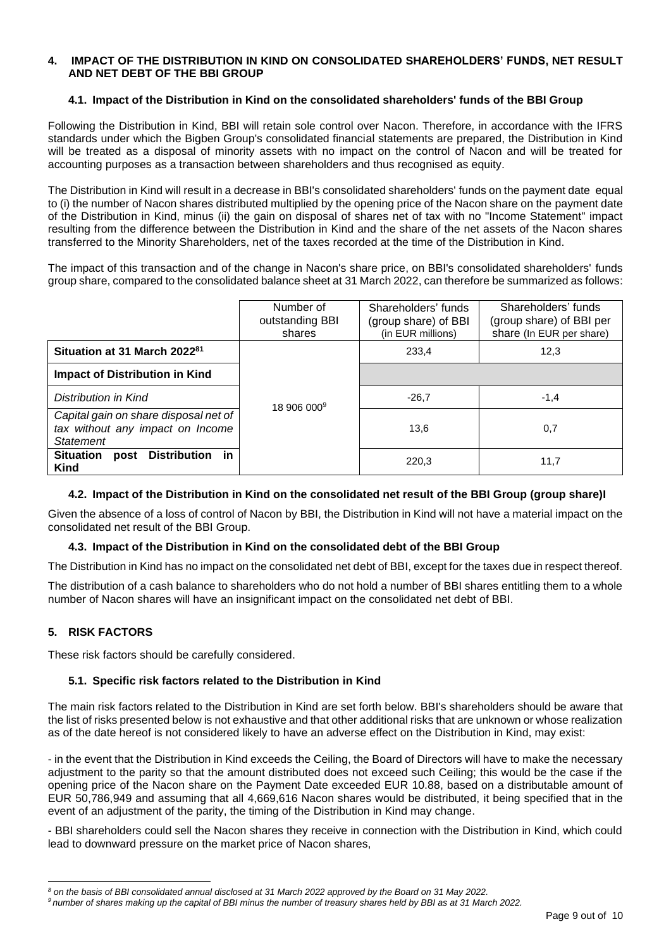#### **4. IMPACT OF THE DISTRIBUTION IN KIND ON CONSOLIDATED SHAREHOLDERS' FUNDS, NET RESULT AND NET DEBT OF THE BBI GROUP**

### **4.1. Impact of the Distribution in Kind on the consolidated shareholders' funds of the BBI Group**

Following the Distribution in Kind, BBI will retain sole control over Nacon. Therefore, in accordance with the IFRS standards under which the Bigben Group's consolidated financial statements are prepared, the Distribution in Kind will be treated as a disposal of minority assets with no impact on the control of Nacon and will be treated for accounting purposes as a transaction between shareholders and thus recognised as equity.

The Distribution in Kind will result in a decrease in BBI's consolidated shareholders' funds on the payment date equal to (i) the number of Nacon shares distributed multiplied by the opening price of the Nacon share on the payment date of the Distribution in Kind, minus (ii) the gain on disposal of shares net of tax with no "Income Statement" impact resulting from the difference between the Distribution in Kind and the share of the net assets of the Nacon shares transferred to the Minority Shareholders, net of the taxes recorded at the time of the Distribution in Kind.

The impact of this transaction and of the change in Nacon's share price, on BBI's consolidated shareholders' funds group share, compared to the consolidated balance sheet at 31 March 2022, can therefore be summarized as follows:

|                                                                                               | Number of<br>outstanding BBI<br>shares | Shareholders' funds<br>(group share) of BBI<br>(in EUR millions) | Shareholders' funds<br>(group share) of BBI per<br>share (In EUR per share) |
|-----------------------------------------------------------------------------------------------|----------------------------------------|------------------------------------------------------------------|-----------------------------------------------------------------------------|
| Situation at 31 March 2022 <sup>81</sup>                                                      | 18 906 000 <sup>9</sup>                | 233.4                                                            | 12,3                                                                        |
| <b>Impact of Distribution in Kind</b>                                                         |                                        |                                                                  |                                                                             |
| Distribution in Kind                                                                          |                                        | $-26.7$                                                          | $-1,4$                                                                      |
| Capital gain on share disposal net of<br>tax without any impact on Income<br><b>Statement</b> |                                        | 13,6                                                             | 0,7                                                                         |
| <b>Distribution</b><br><b>Situation</b><br>in.<br>post<br><b>Kind</b>                         |                                        | 220,3                                                            | 11,7                                                                        |

### **4.2. Impact of the Distribution in Kind on the consolidated net result of the BBI Group (group share)I**

Given the absence of a loss of control of Nacon by BBI, the Distribution in Kind will not have a material impact on the consolidated net result of the BBI Group.

### **4.3. Impact of the Distribution in Kind on the consolidated debt of the BBI Group**

The Distribution in Kind has no impact on the consolidated net debt of BBI, except for the taxes due in respect thereof.

The distribution of a cash balance to shareholders who do not hold a number of BBI shares entitling them to a whole number of Nacon shares will have an insignificant impact on the consolidated net debt of BBI.

### **5. RISK FACTORS**

These risk factors should be carefully considered.

### **5.1. Specific risk factors related to the Distribution in Kind**

The main risk factors related to the Distribution in Kind are set forth below. BBI's shareholders should be aware that the list of risks presented below is not exhaustive and that other additional risks that are unknown or whose realization as of the date hereof is not considered likely to have an adverse effect on the Distribution in Kind, may exist:

- in the event that the Distribution in Kind exceeds the Ceiling, the Board of Directors will have to make the necessary adjustment to the parity so that the amount distributed does not exceed such Ceiling; this would be the case if the opening price of the Nacon share on the Payment Date exceeded EUR 10.88, based on a distributable amount of EUR 50,786,949 and assuming that all 4,669,616 Nacon shares would be distributed, it being specified that in the event of an adjustment of the parity, the timing of the Distribution in Kind may change.

- BBI shareholders could sell the Nacon shares they receive in connection with the Distribution in Kind, which could lead to downward pressure on the market price of Nacon shares,

*<sup>8</sup> on the basis of BBI consolidated annual disclosed at 31 March 2022 approved by the Board on 31 May 2022.*

*<sup>9</sup> number of shares making up the capital of BBI minus the number of treasury shares held by BBI as at 31 March 2022.*